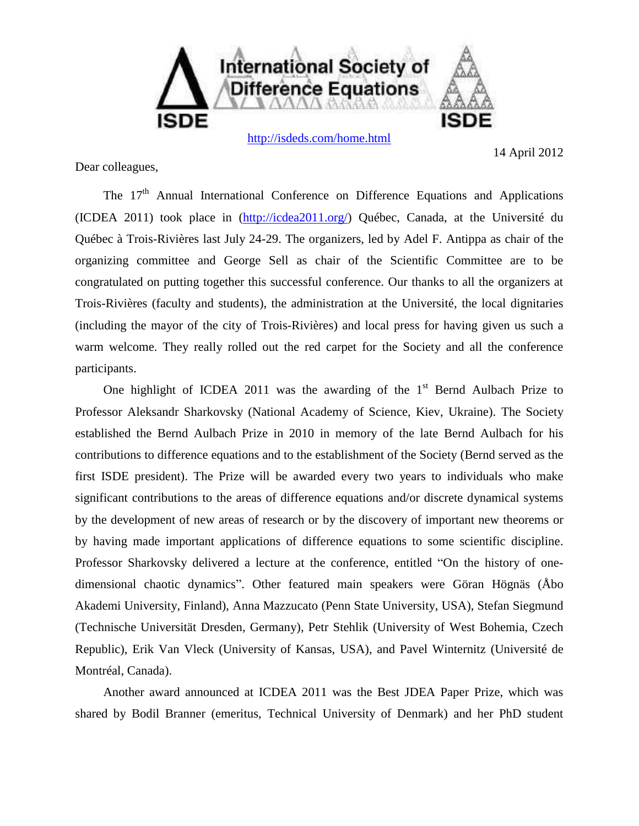

<http://isdeds.com/home.html>

14 April 2012

Dear colleagues,

The  $17<sup>th</sup>$  Annual International Conference on Difference Equations and Applications (ICDEA 2011) took place in [\(http://icdea2011.org/\)](http://icdea2011.org/) Québec, Canada, at the [Université du](http://www.uqtr.ca/)  [Québec à Trois-Rivières](http://www.uqtr.ca/) last July 24-29. The organizers, led by Adel F. Antippa as chair of the organizing committee and George Sell as chair of the Scientific Committee are to be congratulated on putting together this successful conference. Our thanks to all the organizers at Trois-Rivières (faculty and students), the administration at the Université, the local dignitaries (including the mayor of the city of Trois-Rivières) and local press for having given us such a warm welcome. They really rolled out the red carpet for the Society and all the conference participants.

One highlight of ICDEA 2011 was the awarding of the  $1<sup>st</sup>$  Bernd Aulbach Prize to Professor Aleksandr Sharkovsky (National Academy of Science, Kiev, Ukraine). The Society established the Bernd Aulbach Prize in 2010 in memory of the late Bernd Aulbach for his contributions to difference equations and to the establishment of the Society (Bernd served as the first ISDE president). The Prize will be awarded every two years to individuals who make significant contributions to the areas of difference equations and/or discrete dynamical systems by the development of new areas of research or by the discovery of important new theorems or by having made important applications of difference equations to some scientific discipline. Professor Sharkovsky delivered a lecture at the conference, entitled "On the history of onedimensional chaotic dynamics". Other featured main speakers were [Göran Högnäs](http://users.abo.fi/ghognas/) (Åbo Akademi University, Finland), [Anna Mazzucato](http://www.math.psu.edu/mazzucat/) (Penn State University, USA), [Stefan Siegmund](http://www.math.tu-dresden.de/~siegmund/) (Technische Universität Dresden, Germany)*,* [Petr Stehlik](http://www.kma.zcu.cz/main.php?KMAfile=./CLENOVE/main.php&DRC=./STRUCTURE/02_pracovnici/003_doktorandi/&DRL=EN&DROF=0?ref=mp3sen.info&nick=PeSte&kam=) (University of West Bohemia, Czech Republic), [Erik Van Vleck](http://www.math.ku.edu/~evanvleck/) (University of Kansas, USA), and [Pavel Winternitz](http://www.crm.umontreal.ca/~wintern/) (Université de Montréal, Canada).

Another award announced at ICDEA 2011 was the Best JDEA Paper Prize, which was shared by Bodil Branner (emeritus, Technical University of Denmark) and her PhD student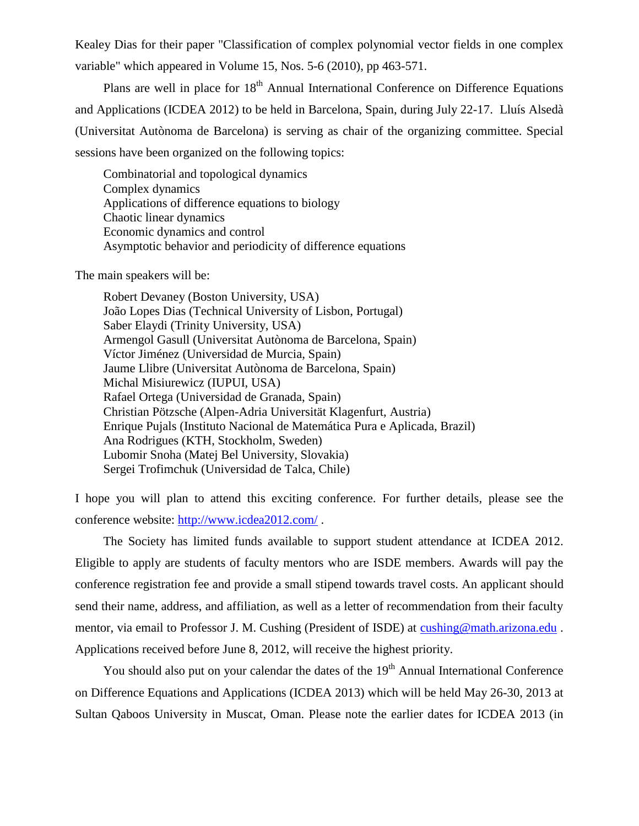Kealey Dias for their paper "Classification of complex polynomial vector fields in one complex variable" which appeared in Volume 15, Nos. 5-6 (2010), pp 463-571.

Plans are well in place for 18<sup>th</sup> Annual International Conference on Difference Equations and Applications (ICDEA 2012) to be held in Barcelona, Spain, during July 22-17. Lluís Alsedà (Universitat Autònoma de Barcelona) is serving as chair of the organizing committee. Special sessions have been organized on the following topics:

Combinatorial and topological dynamics Complex dynamics Applications of difference equations to biology Chaotic linear dynamics Economic dynamics and control Asymptotic behavior and periodicity of difference equations

The main speakers will be:

Robert Devaney (Boston University, USA) João Lopes Dias (Technical University of Lisbon, Portugal) Saber Elaydi (Trinity University, USA) Armengol Gasull (Universitat Autònoma de Barcelona, Spain) Víctor Jiménez (Universidad de Murcia, Spain) Jaume Llibre (Universitat Autònoma de Barcelona, Spain) Michal Misiurewicz (IUPUI, USA) Rafael Ortega (Universidad de Granada, Spain) Christian Pötzsche (Alpen-Adria Universität Klagenfurt, Austria) Enrique Pujals (Instituto Nacional de Matemática Pura e Aplicada, Brazil) Ana Rodrigues (KTH, Stockholm, Sweden) Lubomir Snoha (Matej Bel University, Slovakia) Sergei Trofimchuk (Universidad de Talca, Chile)

I hope you will plan to attend this exciting conference. For further details, please see the conference website:<http://www.icdea2012.com/> .

The Society has limited funds available to support student attendance at ICDEA 2012. Eligible to apply are students of faculty mentors who are ISDE members. Awards will pay the conference registration fee and provide a small stipend towards travel costs. An applicant should send their name, address, and affiliation, as well as a letter of recommendation from their faculty mentor, via email to Professor J. M. Cushing (President of ISDE) at [cushing@math.arizona.edu](mailto:cushing@math.arizona.edu) . Applications received before June 8, 2012, will receive the highest priority.

You should also put on your calendar the dates of the 19<sup>th</sup> Annual International Conference on Difference Equations and Applications (ICDEA 2013) which will be held May 26-30, 2013 at Sultan Qaboos University in Muscat, Oman. Please note the earlier dates for ICDEA 2013 (in